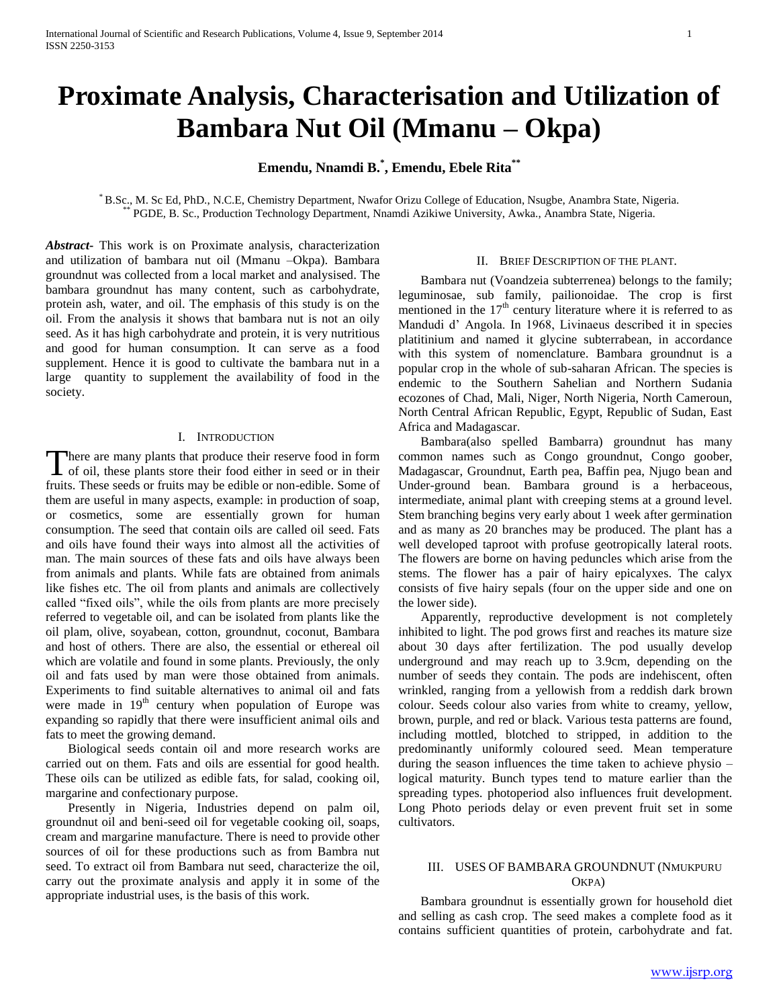# **Proximate Analysis, Characterisation and Utilization of Bambara Nut Oil (Mmanu – Okpa)**

**Emendu, Nnamdi B.\* , Emendu, Ebele Rita\*\***

\* B.Sc., M. Sc Ed, PhD., N.C.E, Chemistry Department, Nwafor Orizu College of Education, Nsugbe, Anambra State, Nigeria. PGDE, B. Sc., Production Technology Department, Nnamdi Azikiwe University, Awka., Anambra State, Nigeria.

*Abstract***-** This work is on Proximate analysis, characterization and utilization of bambara nut oil (Mmanu –Okpa). Bambara groundnut was collected from a local market and analysised. The bambara groundnut has many content, such as carbohydrate, protein ash, water, and oil. The emphasis of this study is on the oil. From the analysis it shows that bambara nut is not an oily seed. As it has high carbohydrate and protein, it is very nutritious and good for human consumption. It can serve as a food supplement. Hence it is good to cultivate the bambara nut in a large quantity to supplement the availability of food in the society.

#### I. INTRODUCTION

There are many plants that produce their reserve food in form There are many plants that produce their reserve food in form<br>
There is the plants store their food either in seed or in their fruits. These seeds or fruits may be edible or non-edible. Some of them are useful in many aspects, example: in production of soap, or cosmetics, some are essentially grown for human consumption. The seed that contain oils are called oil seed. Fats and oils have found their ways into almost all the activities of man. The main sources of these fats and oils have always been from animals and plants. While fats are obtained from animals like fishes etc. The oil from plants and animals are collectively called "fixed oils", while the oils from plants are more precisely referred to vegetable oil, and can be isolated from plants like the oil plam, olive, soyabean, cotton, groundnut, coconut, Bambara and host of others. There are also, the essential or ethereal oil which are volatile and found in some plants. Previously, the only oil and fats used by man were those obtained from animals. Experiments to find suitable alternatives to animal oil and fats were made in  $19<sup>th</sup>$  century when population of Europe was expanding so rapidly that there were insufficient animal oils and fats to meet the growing demand.

 Biological seeds contain oil and more research works are carried out on them. Fats and oils are essential for good health. These oils can be utilized as edible fats, for salad, cooking oil, margarine and confectionary purpose.

 Presently in Nigeria, Industries depend on palm oil, groundnut oil and beni-seed oil for vegetable cooking oil, soaps, cream and margarine manufacture. There is need to provide other sources of oil for these productions such as from Bambra nut seed. To extract oil from Bambara nut seed, characterize the oil, carry out the proximate analysis and apply it in some of the appropriate industrial uses, is the basis of this work.

#### II. BRIEF DESCRIPTION OF THE PLANT.

 Bambara nut (Voandzeia subterrenea) belongs to the family; leguminosae, sub family, pailionoidae. The crop is first mentioned in the  $17<sup>th</sup>$  century literature where it is referred to as Mandudi d" Angola. In 1968, Livinaeus described it in species platitinium and named it glycine subterrabean, in accordance with this system of nomenclature. Bambara groundnut is a popular crop in the whole of sub-saharan African. The species is endemic to the Southern Sahelian and Northern Sudania ecozones of Chad, Mali, Niger, North Nigeria, North Cameroun, North Central African Republic, Egypt, Republic of Sudan, East Africa and Madagascar.

 Bambara(also spelled Bambarra) groundnut has many common names such as Congo groundnut, Congo goober, Madagascar, Groundnut, Earth pea, Baffin pea, Njugo bean and Under-ground bean. Bambara ground is a herbaceous, intermediate, animal plant with creeping stems at a ground level. Stem branching begins very early about 1 week after germination and as many as 20 branches may be produced. The plant has a well developed taproot with profuse geotropically lateral roots. The flowers are borne on having peduncles which arise from the stems. The flower has a pair of hairy epicalyxes. The calyx consists of five hairy sepals (four on the upper side and one on the lower side).

 Apparently, reproductive development is not completely inhibited to light. The pod grows first and reaches its mature size about 30 days after fertilization. The pod usually develop underground and may reach up to 3.9cm, depending on the number of seeds they contain. The pods are indehiscent, often wrinkled, ranging from a yellowish from a reddish dark brown colour. Seeds colour also varies from white to creamy, yellow, brown, purple, and red or black. Various testa patterns are found, including mottled, blotched to stripped, in addition to the predominantly uniformly coloured seed. Mean temperature during the season influences the time taken to achieve physio – logical maturity. Bunch types tend to mature earlier than the spreading types. photoperiod also influences fruit development. Long Photo periods delay or even prevent fruit set in some cultivators.

#### III. USES OF BAMBARA GROUNDNUT (NMUKPURU OKPA)

 Bambara groundnut is essentially grown for household diet and selling as cash crop. The seed makes a complete food as it contains sufficient quantities of protein, carbohydrate and fat.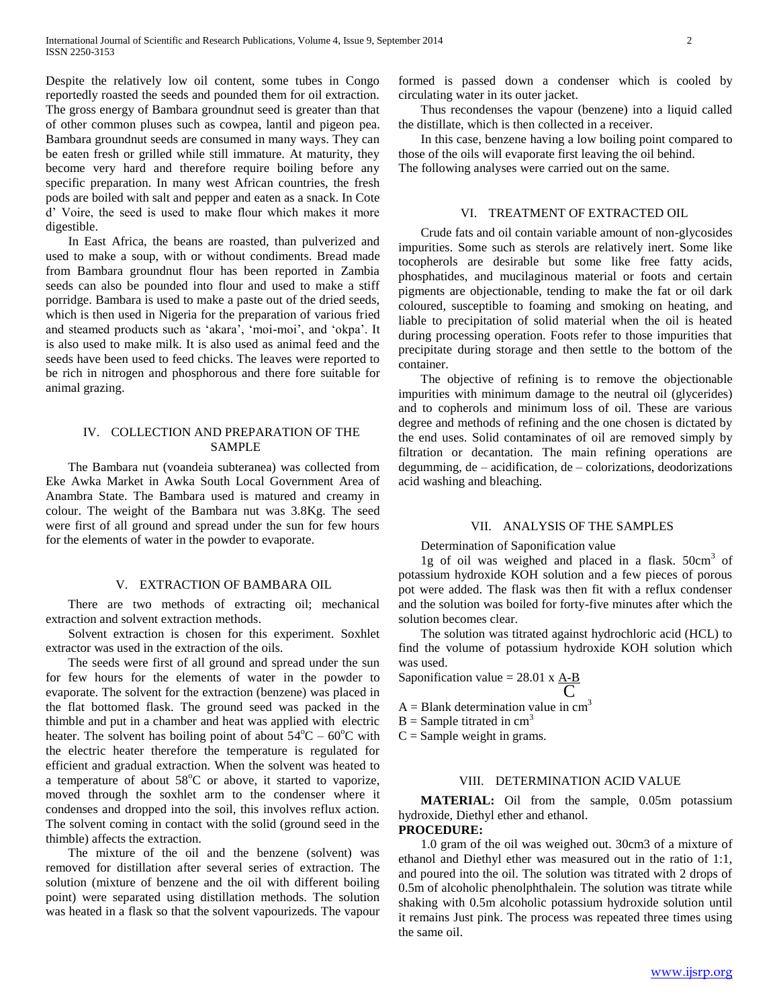Despite the relatively low oil content, some tubes in Congo reportedly roasted the seeds and pounded them for oil extraction. The gross energy of Bambara groundnut seed is greater than that of other common pluses such as cowpea, lantil and pigeon pea. Bambara groundnut seeds are consumed in many ways. They can be eaten fresh or grilled while still immature. At maturity, they become very hard and therefore require boiling before any specific preparation. In many west African countries, the fresh pods are boiled with salt and pepper and eaten as a snack. In Cote d" Voire, the seed is used to make flour which makes it more digestible.

 In East Africa, the beans are roasted, than pulverized and used to make a soup, with or without condiments. Bread made from Bambara groundnut flour has been reported in Zambia seeds can also be pounded into flour and used to make a stiff porridge. Bambara is used to make a paste out of the dried seeds, which is then used in Nigeria for the preparation of various fried and steamed products such as 'akara', 'moi-moi', and 'okpa'. It is also used to make milk. It is also used as animal feed and the seeds have been used to feed chicks. The leaves were reported to be rich in nitrogen and phosphorous and there fore suitable for animal grazing.

#### IV. COLLECTION AND PREPARATION OF THE SAMPLE

 The Bambara nut (voandeia subteranea) was collected from Eke Awka Market in Awka South Local Government Area of Anambra State. The Bambara used is matured and creamy in colour. The weight of the Bambara nut was 3.8Kg. The seed were first of all ground and spread under the sun for few hours for the elements of water in the powder to evaporate.

#### V. EXTRACTION OF BAMBARA OIL

 There are two methods of extracting oil; mechanical extraction and solvent extraction methods.

 Solvent extraction is chosen for this experiment. Soxhlet extractor was used in the extraction of the oils.

 The seeds were first of all ground and spread under the sun for few hours for the elements of water in the powder to evaporate. The solvent for the extraction (benzene) was placed in the flat bottomed flask. The ground seed was packed in the thimble and put in a chamber and heat was applied with electric heater. The solvent has boiling point of about  $54^{\circ}$ C – 60 $^{\circ}$ C with the electric heater therefore the temperature is regulated for efficient and gradual extraction. When the solvent was heated to a temperature of about  $58^{\circ}$ C or above, it started to vaporize, moved through the soxhlet arm to the condenser where it condenses and dropped into the soil, this involves reflux action. The solvent coming in contact with the solid (ground seed in the thimble) affects the extraction.

 The mixture of the oil and the benzene (solvent) was removed for distillation after several series of extraction. The solution (mixture of benzene and the oil with different boiling point) were separated using distillation methods. The solution was heated in a flask so that the solvent vapourizeds. The vapour formed is passed down a condenser which is cooled by circulating water in its outer jacket.

 Thus recondenses the vapour (benzene) into a liquid called the distillate, which is then collected in a receiver.

 In this case, benzene having a low boiling point compared to those of the oils will evaporate first leaving the oil behind. The following analyses were carried out on the same.

# VI. TREATMENT OF EXTRACTED OIL

 Crude fats and oil contain variable amount of non-glycosides impurities. Some such as sterols are relatively inert. Some like tocopherols are desirable but some like free fatty acids, phosphatides, and mucilaginous material or foots and certain pigments are objectionable, tending to make the fat or oil dark coloured, susceptible to foaming and smoking on heating, and liable to precipitation of solid material when the oil is heated during processing operation. Foots refer to those impurities that precipitate during storage and then settle to the bottom of the container.

 The objective of refining is to remove the objectionable impurities with minimum damage to the neutral oil (glycerides) and to copherols and minimum loss of oil. These are various degree and methods of refining and the one chosen is dictated by the end uses. Solid contaminates of oil are removed simply by filtration or decantation. The main refining operations are degumming, de – acidification, de – colorizations, deodorizations acid washing and bleaching.

#### VII. ANALYSIS OF THE SAMPLES

Determination of Saponification value

1g of oil was weighed and placed in a flask. 50cm<sup>3</sup> of potassium hydroxide KOH solution and a few pieces of porous pot were added. The flask was then fit with a reflux condenser and the solution was boiled for forty-five minutes after which the solution becomes clear.

 The solution was titrated against hydrochloric acid (HCL) to find the volume of potassium hydroxide KOH solution which was used.

Saponification value  $= 28.01 \times A - B$  $\overline{\rm C}$ 

 $A = Blank determination value in cm<sup>3</sup>$ 

 $B =$  Sample titrated in cm<sup>3</sup>

 $C =$  Sample weight in grams.

#### VIII. DETERMINATION ACID VALUE

 **MATERIAL:** Oil from the sample, 0.05m potassium hydroxide, Diethyl ether and ethanol.

# **PROCEDURE:**

 1.0 gram of the oil was weighed out. 30cm3 of a mixture of ethanol and Diethyl ether was measured out in the ratio of 1:1, and poured into the oil. The solution was titrated with 2 drops of 0.5m of alcoholic phenolphthalein. The solution was titrate while shaking with 0.5m alcoholic potassium hydroxide solution until it remains Just pink. The process was repeated three times using the same oil.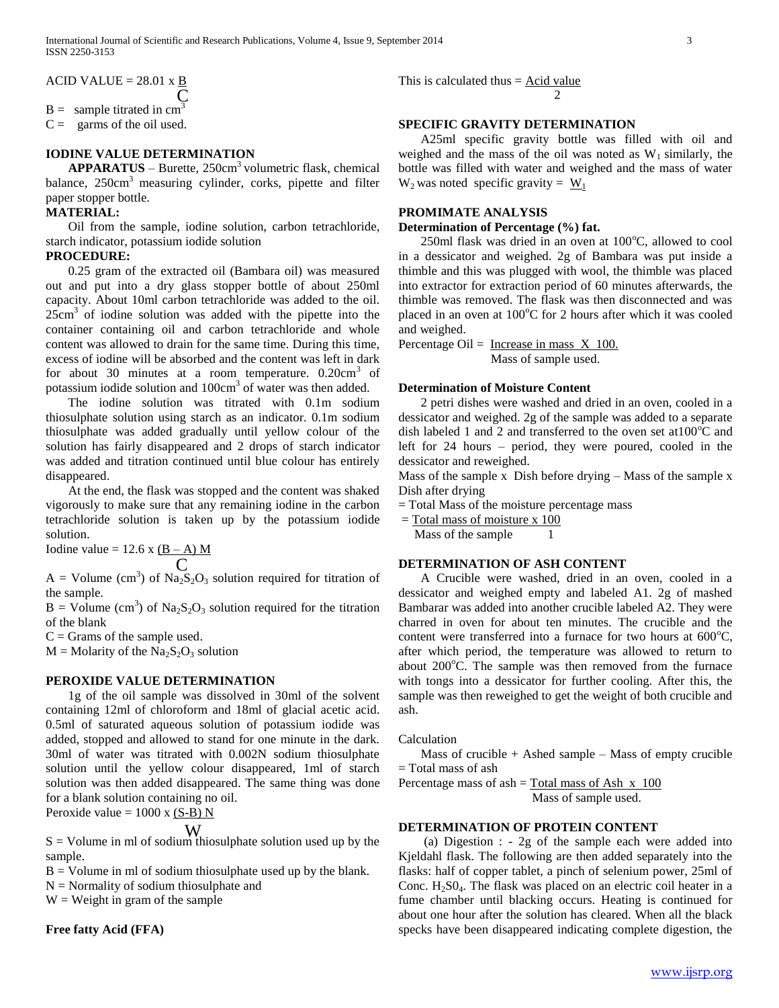$ACID$  VALUE = 28.01 x B  $\overline{\mathcal{C}}$ 

 $B =$  sample titrated in cm<sup>3</sup>

 $C =$  garms of the oil used.

# **IODINE VALUE DETERMINATION**

**APPARATUS** – Burette, 250cm<sup>3</sup> volumetric flask, chemical balance, 250cm<sup>3</sup> measuring cylinder, corks, pipette and filter paper stopper bottle.

#### **MATERIAL:**

 Oil from the sample, iodine solution, carbon tetrachloride, starch indicator, potassium iodide solution

#### **PROCEDURE:**

 0.25 gram of the extracted oil (Bambara oil) was measured out and put into a dry glass stopper bottle of about 250ml capacity. About 10ml carbon tetrachloride was added to the oil.  $25 \text{cm}^3$  of iodine solution was added with the pipette into the container containing oil and carbon tetrachloride and whole content was allowed to drain for the same time. During this time, excess of iodine will be absorbed and the content was left in dark for about 30 minutes at a room temperature.  $0.20 \text{cm}^3$  of potassium iodide solution and 100cm<sup>3</sup> of water was then added.

 The iodine solution was titrated with 0.1m sodium thiosulphate solution using starch as an indicator. 0.1m sodium thiosulphate was added gradually until yellow colour of the solution has fairly disappeared and 2 drops of starch indicator was added and titration continued until blue colour has entirely disappeared.

 At the end, the flask was stopped and the content was shaked vigorously to make sure that any remaining iodine in the carbon tetrachloride solution is taken up by the potassium iodide solution.

Iodine value =  $12.6 \text{ x } (\text{B} - \text{A}) \text{ M}$ C

 $A =$  Volume (cm<sup>3</sup>) of  $Na<sub>2</sub>S<sub>2</sub>O<sub>3</sub>$  solution required for titration of the sample.

 $B = \text{Volume (cm}^3)$  of  $\text{Na}_2\text{S}_2\text{O}_3$  solution required for the titration of the blank

 $C =$  Grams of the sample used.

 $M =$ Molarity of the Na<sub>2</sub>S<sub>2</sub>O<sub>3</sub> solution

#### **PEROXIDE VALUE DETERMINATION**

 1g of the oil sample was dissolved in 30ml of the solvent containing 12ml of chloroform and 18ml of glacial acetic acid. 0.5ml of saturated aqueous solution of potassium iodide was added, stopped and allowed to stand for one minute in the dark. 30ml of water was titrated with 0.002N sodium thiosulphate solution until the yellow colour disappeared, 1ml of starch solution was then added disappeared. The same thing was done for a blank solution containing no oil.

Peroxide value  $= 1000$  x (S-B) N

# W

 $S =$  Volume in ml of sodium thiosulphate solution used up by the sample.

 $B =$  Volume in ml of sodium thiosulphate used up by the blank.

 $N =$  Normality of sodium thiosulphate and

 $W = Weight in gram of the sample$ 

**Free fatty Acid (FFA)**

This is calculated thus  $=$  Acid value 2

# **SPECIFIC GRAVITY DETERMINATION**

 A25ml specific gravity bottle was filled with oil and weighed and the mass of the oil was noted as  $W_1$  similarly, the bottle was filled with water and weighed and the mass of water  $W_2$  was noted specific gravity =  $W_1$ 

# **PROMIMATE ANALYSIS**

**Determination of Percentage (%) fat.**

250ml flask was dried in an oven at  $100^{\circ}$ C, allowed to cool in a dessicator and weighed. 2g of Bambara was put inside a thimble and this was plugged with wool, the thimble was placed into extractor for extraction period of 60 minutes afterwards, the thimble was removed. The flask was then disconnected and was placed in an oven at  $100^{\circ}$ C for 2 hours after which it was cooled and weighed.

Percentage Oil =  $\frac{\text{Increase in mass X 100}}{\text{.}}$ Mass of sample used.

#### **Determination of Moisture Content**

 2 petri dishes were washed and dried in an oven, cooled in a dessicator and weighed. 2g of the sample was added to a separate dish labeled 1 and 2 and transferred to the oven set at  $100^{\circ}$ C and left for 24 hours – period, they were poured, cooled in the dessicator and reweighed.

Mass of the sample x Dish before drying – Mass of the sample x Dish after drying

= Total Mass of the moisture percentage mass

= Total mass of moisture x 100

Mass of the sample

#### **DETERMINATION OF ASH CONTENT**

 A Crucible were washed, dried in an oven, cooled in a dessicator and weighed empty and labeled A1. 2g of mashed Bambarar was added into another crucible labeled A2. They were charred in oven for about ten minutes. The crucible and the content were transferred into a furnace for two hours at  $600^{\circ}$ C, after which period, the temperature was allowed to return to about  $200^{\circ}$ C. The sample was then removed from the furnace with tongs into a dessicator for further cooling. After this, the sample was then reweighed to get the weight of both crucible and ash.

Calculation

Mass of crucible  $+$  Ashed sample – Mass of empty crucible = Total mass of ash

Percentage mass of ash  $=$  Total mass of Ash  $\overline{x}$  100 Mass of sample used.

# **DETERMINATION OF PROTEIN CONTENT**

 (a) Digestion : - 2g of the sample each were added into Kjeldahl flask. The following are then added separately into the flasks: half of copper tablet, a pinch of selenium power, 25ml of Conc.  $H_2SO_4$ . The flask was placed on an electric coil heater in a fume chamber until blacking occurs. Heating is continued for about one hour after the solution has cleared. When all the black specks have been disappeared indicating complete digestion, the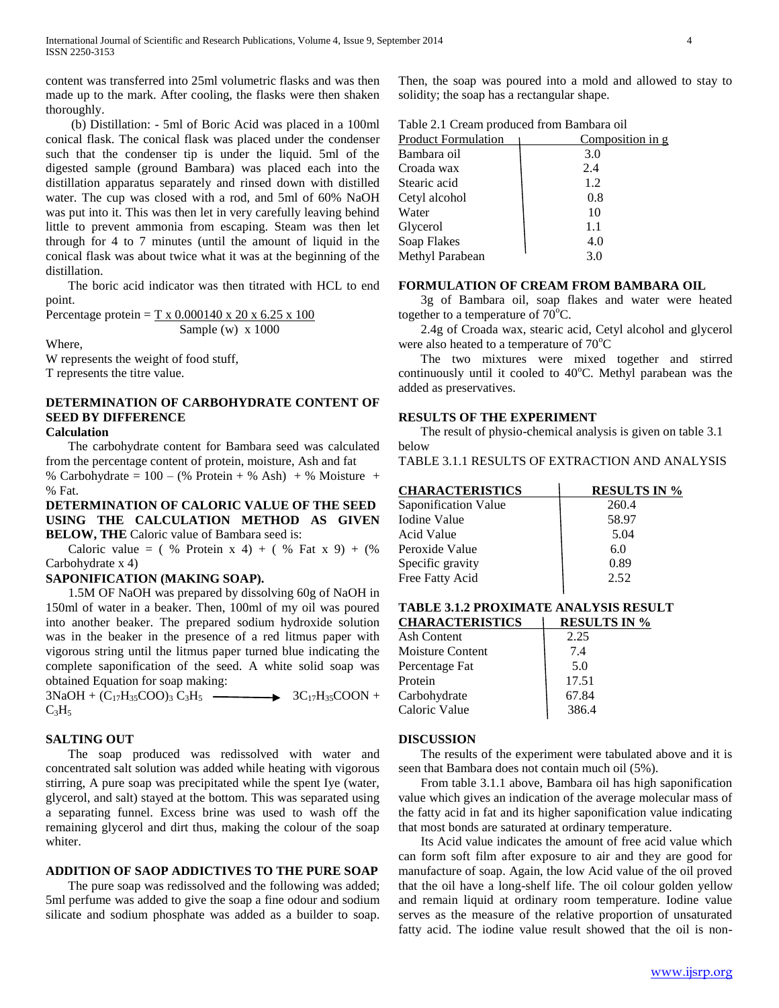content was transferred into 25ml volumetric flasks and was then made up to the mark. After cooling, the flasks were then shaken thoroughly.

 (b) Distillation: - 5ml of Boric Acid was placed in a 100ml conical flask. The conical flask was placed under the condenser such that the condenser tip is under the liquid. 5ml of the digested sample (ground Bambara) was placed each into the distillation apparatus separately and rinsed down with distilled water. The cup was closed with a rod, and 5ml of 60% NaOH was put into it. This was then let in very carefully leaving behind little to prevent ammonia from escaping. Steam was then let through for 4 to 7 minutes (until the amount of liquid in the conical flask was about twice what it was at the beginning of the distillation.

 The boric acid indicator was then titrated with HCL to end point.

Percentage protein =  $T \times 0.000140 \times 20 \times 6.25 \times 100$ Sample (w) x 1000

Where, W represents the weight of food stuff,

T represents the titre value.

# **DETERMINATION OF CARBOHYDRATE CONTENT OF SEED BY DIFFERENCE**

# **Calculation**

 The carbohydrate content for Bambara seed was calculated from the percentage content of protein, moisture, Ash and fat

% Carbohydrate =  $100 - (%$  Protein + % Ash) + % Moisture + % Fat.

**DETERMINATION OF CALORIC VALUE OF THE SEED USING THE CALCULATION METHOD AS GIVEN BELOW, THE Caloric value of Bambara seed is:** 

Caloric value =  $( %$  Protein x 4) +  $( %$  Fat x 9) +  $($ Carbohydrate x 4)

#### **SAPONIFICATION (MAKING SOAP).**

 1.5M OF NaOH was prepared by dissolving 60g of NaOH in 150ml of water in a beaker. Then, 100ml of my oil was poured into another beaker. The prepared sodium hydroxide solution was in the beaker in the presence of a red litmus paper with vigorous string until the litmus paper turned blue indicating the complete saponification of the seed. A white solid soap was obtained Equation for soap making:

 $3NaOH + (C_{17}H_{35}COO)$ <sub>3</sub>  $C_3H_5$   $\longrightarrow$   $3C_{17}H_{35}COON +$  $C_3H_5$ 

#### **SALTING OUT**

 The soap produced was redissolved with water and concentrated salt solution was added while heating with vigorous stirring, A pure soap was precipitated while the spent Iye (water, glycerol, and salt) stayed at the bottom. This was separated using a separating funnel. Excess brine was used to wash off the remaining glycerol and dirt thus, making the colour of the soap whiter.

#### **ADDITION OF SAOP ADDICTIVES TO THE PURE SOAP**

 The pure soap was redissolved and the following was added; 5ml perfume was added to give the soap a fine odour and sodium silicate and sodium phosphate was added as a builder to soap.

Then, the soap was poured into a mold and allowed to stay to solidity; the soap has a rectangular shape.

| <b>Product Formulation</b> | Composition in g |
|----------------------------|------------------|
| Bambara oil                | 3.0              |
| Croada wax                 | 2.4              |
| Stearic acid               | 1.2              |
| Cetyl alcohol              | 0.8              |
| Water                      | 10               |
| Glycerol                   | 1.1              |
| Soap Flakes                | 4.0              |
| Methyl Parabean            | 3.0              |

#### **FORMULATION OF CREAM FROM BAMBARA OIL**

 3g of Bambara oil, soap flakes and water were heated together to a temperature of  $70^{\circ}$ C.

 2.4g of Croada wax, stearic acid, Cetyl alcohol and glycerol were also heated to a temperature of  $70^{\circ}$ C

 The two mixtures were mixed together and stirred continuously until it cooled to 40°C. Methyl parabean was the added as preservatives.

#### **RESULTS OF THE EXPERIMENT**

 The result of physio-chemical analysis is given on table 3.1 below

TABLE 3.1.1 RESULTS OF EXTRACTION AND ANALYSIS

| <b>CHARACTERISTICS</b> | <b>RESULTS IN %</b> |
|------------------------|---------------------|
| Saponification Value   | 260.4               |
| Iodine Value           | 58.97               |
| Acid Value             | 5.04                |
| Peroxide Value         | 6.0                 |
| Specific gravity       | 0.89                |
| Free Fatty Acid        | 2.52                |
|                        |                     |

#### **TABLE 3.1.2 PROXIMATE ANALYSIS RESULT CHARACTERISTICS RESULTS IN %**

|                         | ************ |
|-------------------------|--------------|
| Ash Content             | 2.25         |
| <b>Moisture Content</b> | 7.4          |
| Percentage Fat          | 5.0          |
| Protein                 | 17.51        |
| Carbohydrate            | 67.84        |
| Caloric Value           | 386.4        |

#### **DISCUSSION**

 The results of the experiment were tabulated above and it is seen that Bambara does not contain much oil (5%).

 From table 3.1.1 above, Bambara oil has high saponification value which gives an indication of the average molecular mass of the fatty acid in fat and its higher saponification value indicating that most bonds are saturated at ordinary temperature.

 Its Acid value indicates the amount of free acid value which can form soft film after exposure to air and they are good for manufacture of soap. Again, the low Acid value of the oil proved that the oil have a long-shelf life. The oil colour golden yellow and remain liquid at ordinary room temperature. Iodine value serves as the measure of the relative proportion of unsaturated fatty acid. The iodine value result showed that the oil is non